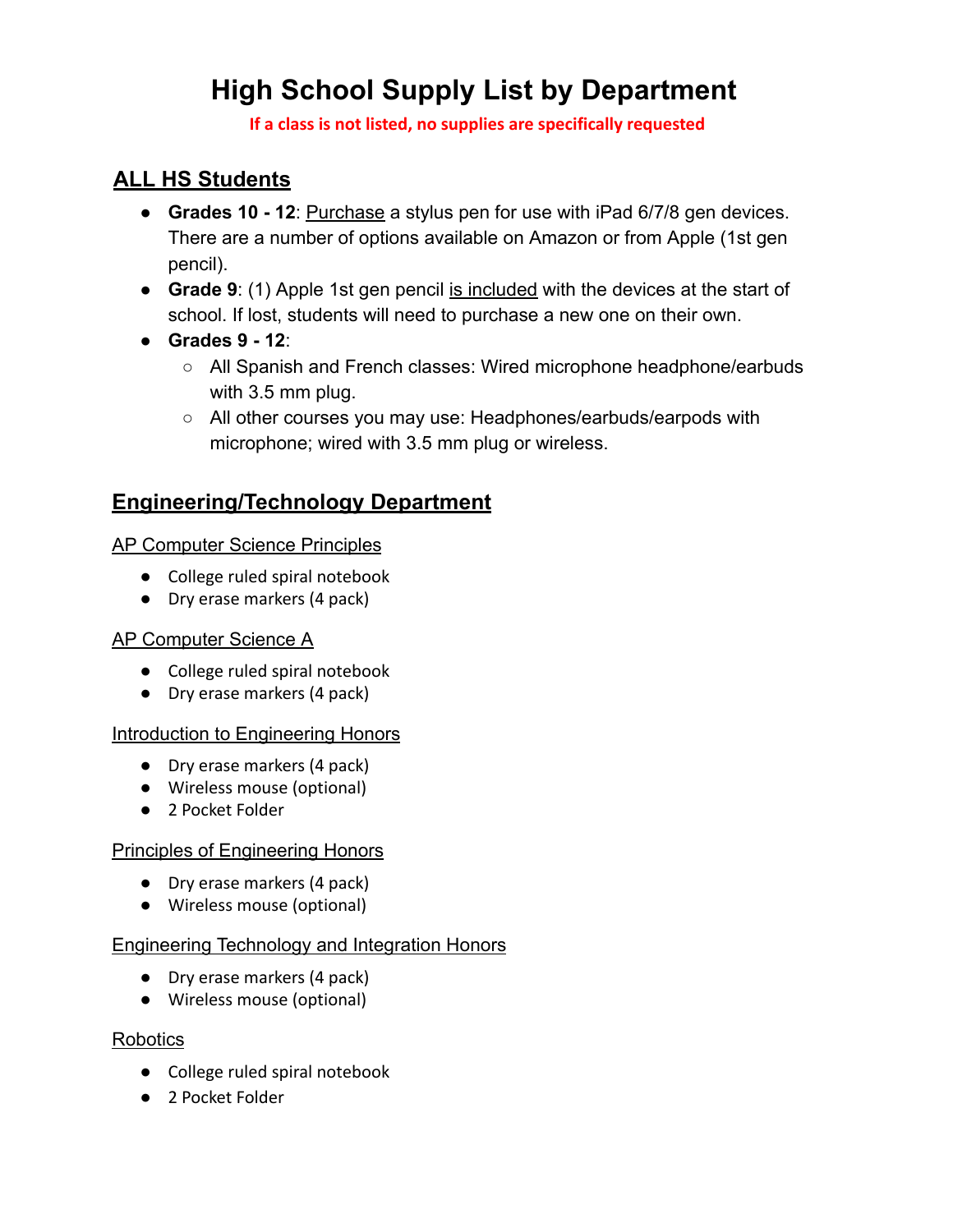# **High School Supply List by Department**

**If a class is not listed, no supplies are specifically requested**

## **ALL HS Students**

- **Grades 10 12**: Purchase a stylus pen for use with iPad 6/7/8 gen devices. There are a number of options available on Amazon or from Apple (1st gen pencil).
- **Grade 9**: (1) Apple 1st gen pencil is included with the devices at the start of school. If lost, students will need to purchase a new one on their own.
- **Grades 9 12**:
	- All Spanish and French classes: Wired microphone headphone/earbuds with 3.5 mm plug.
	- All other courses you may use: Headphones/earbuds/earpods with microphone; wired with 3.5 mm plug or wireless.

## **Engineering/Technology Department**

## AP Computer Science Principles

- College ruled spiral notebook
- Dry erase markers (4 pack)

## AP Computer Science A

- College ruled spiral notebook
- Dry erase markers (4 pack)

## Introduction to Engineering Honors

- Dry erase markers (4 pack)
- Wireless mouse (optional)
- 2 Pocket Folder

## Principles of Engineering Honors

- Dry erase markers (4 pack)
- Wireless mouse (optional)

## Engineering Technology and Integration Honors

- Dry erase markers (4 pack)
- Wireless mouse (optional)

## Robotics

- College ruled spiral notebook
- 2 Pocket Folder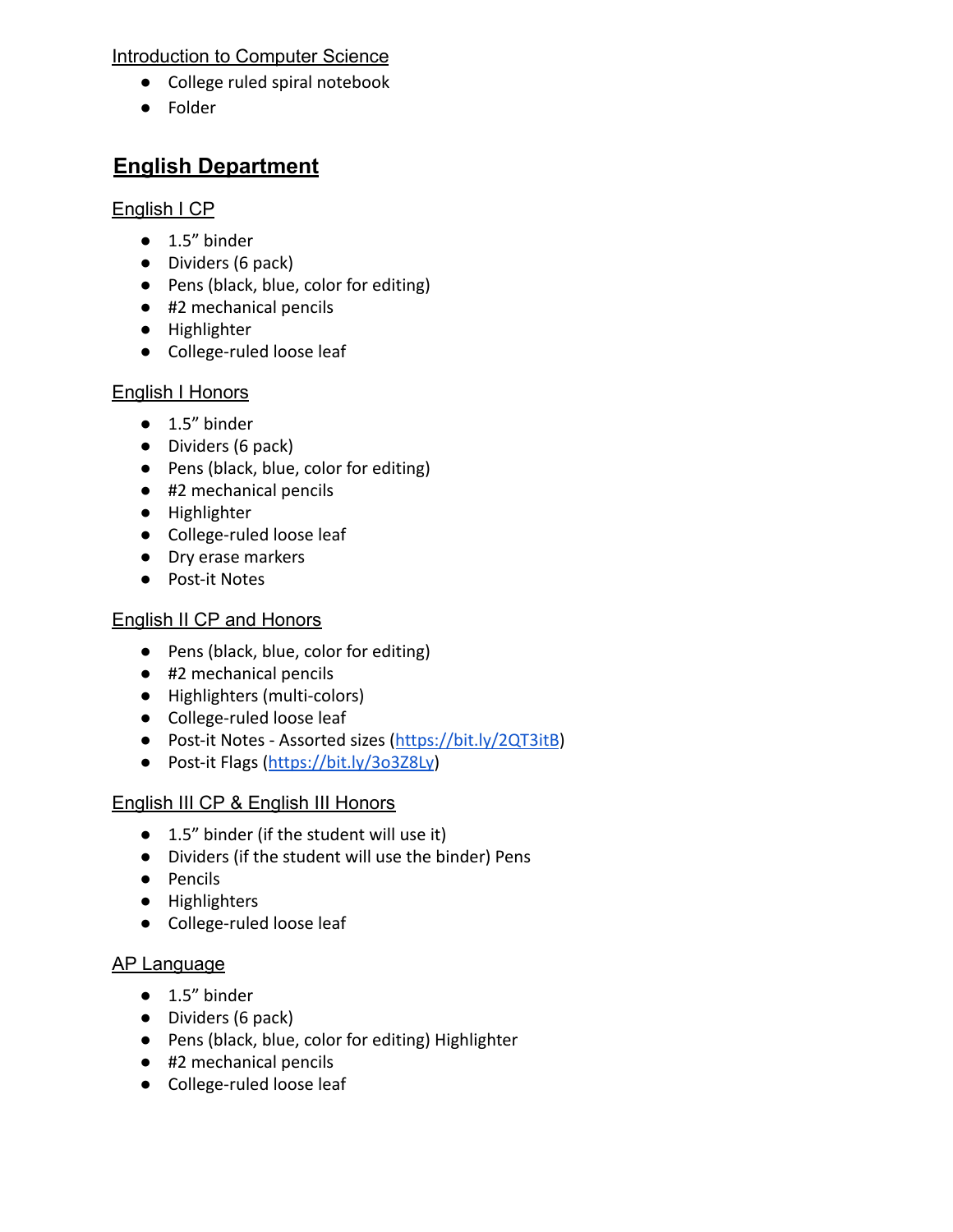#### Introduction to Computer Science

- College ruled spiral notebook
- Folder

## **English Department**

#### English I CP

- 1.5" binder
- Dividers (6 pack)
- Pens (black, blue, color for editing)
- #2 mechanical pencils
- Highlighter
- College-ruled loose leaf

## English I Honors

- $\bullet$  1.5" binder
- Dividers (6 pack)
- Pens (black, blue, color for editing)
- #2 mechanical pencils
- Highlighter
- College-ruled loose leaf
- Dry erase markers
- Post-it Notes

## English II CP and Honors

- Pens (black, blue, color for editing)
- #2 mechanical pencils
- Highlighters (multi-colors)
- College-ruled loose leaf
- Post-it Notes Assorted sizes [\(https://bit.ly/2QT3itB](https://bit.ly/2QT3itB))
- Post-it Flags [\(https://bit.ly/3o3Z8Ly\)](https://bit.ly/3o3Z8Ly)

## English III CP & English III Honors

- 1.5" binder (if the student will use it)
- Dividers (if the student will use the binder) Pens
- Pencils
- Highlighters
- College-ruled loose leaf

## AP Language

- 1.5" binder
- Dividers (6 pack)
- Pens (black, blue, color for editing) Highlighter
- #2 mechanical pencils
- College-ruled loose leaf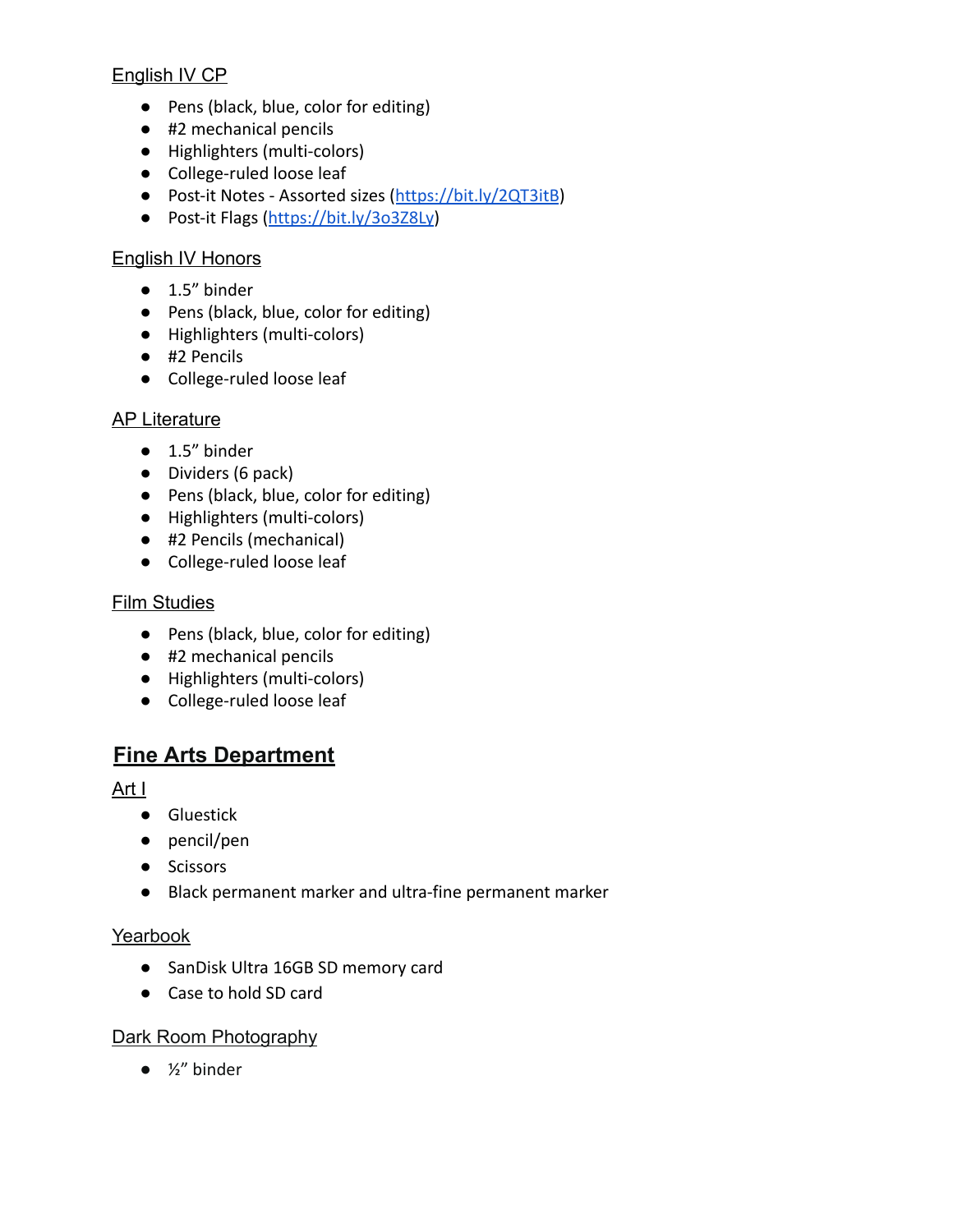## English IV CP

- Pens (black, blue, color for editing)
- #2 mechanical pencils
- Highlighters (multi-colors)
- College-ruled loose leaf
- Post-it Notes Assorted sizes [\(https://bit.ly/2QT3itB](https://bit.ly/2QT3itB))
- Post-it Flags [\(https://bit.ly/3o3Z8Ly\)](https://bit.ly/3o3Z8Ly)

## English IV Honors

- 1.5" binder
- Pens (black, blue, color for editing)
- Highlighters (multi-colors)
- #2 Pencils
- College-ruled loose leaf

## AP Literature

- 1.5" binder
- Dividers (6 pack)
- Pens (black, blue, color for editing)
- Highlighters (multi-colors)
- #2 Pencils (mechanical)
- College-ruled loose leaf

#### Film Studies

- Pens (black, blue, color for editing)
- #2 mechanical pencils
- Highlighters (multi-colors)
- College-ruled loose leaf

## **Fine Arts Department**

Art I

- Gluestick
- pencil/pen
- Scissors
- Black permanent marker and ultra-fine permanent marker

## Yearbook

- SanDisk Ultra 16GB SD memory card
- Case to hold SD card

## Dark Room Photography

 $\bullet$  ½" binder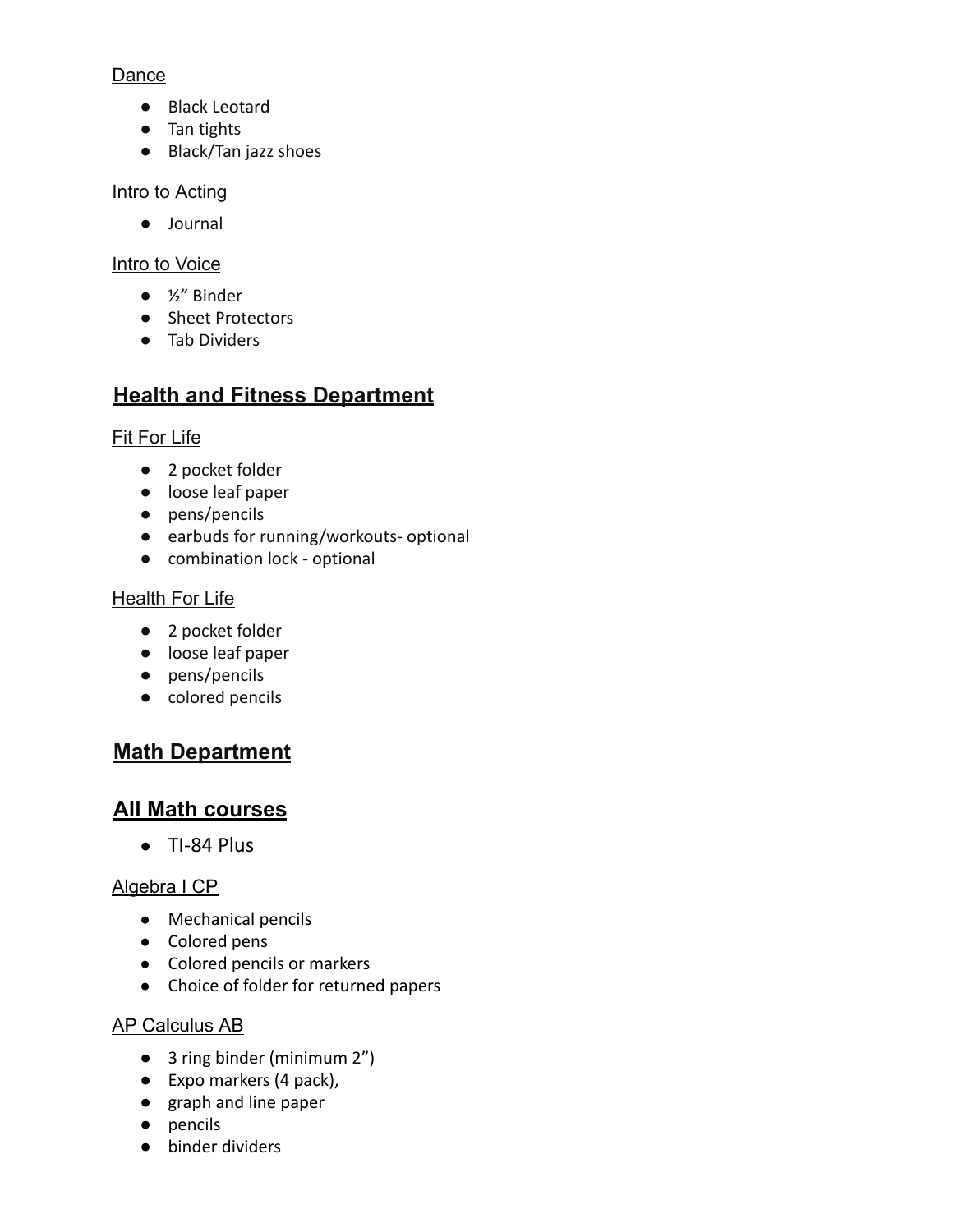### Dance

- Black Leotard
- Tan tights
- Black/Tan jazz shoes

## Intro to Acting

● Journal

## Intro to Voice

- ½" Binder
- Sheet Protectors
- Tab Dividers

## **Health and Fitness Department**

## Fit For Life

- 2 pocket folder
- loose leaf paper
- pens/pencils
- earbuds for running/workouts- optional
- combination lock optional

## Health For Life

- 2 pocket folder
- loose leaf paper
- pens/pencils
- colored pencils

## **Math Department**

## **All Math courses**

● TI-84 Plus

## Algebra I CP

- Mechanical pencils
- Colored pens
- Colored pencils or markers
- Choice of folder for returned papers

## AP Calculus AB

- 3 ring binder (minimum 2")
- Expo markers (4 pack),
- graph and line paper
- pencils
- binder dividers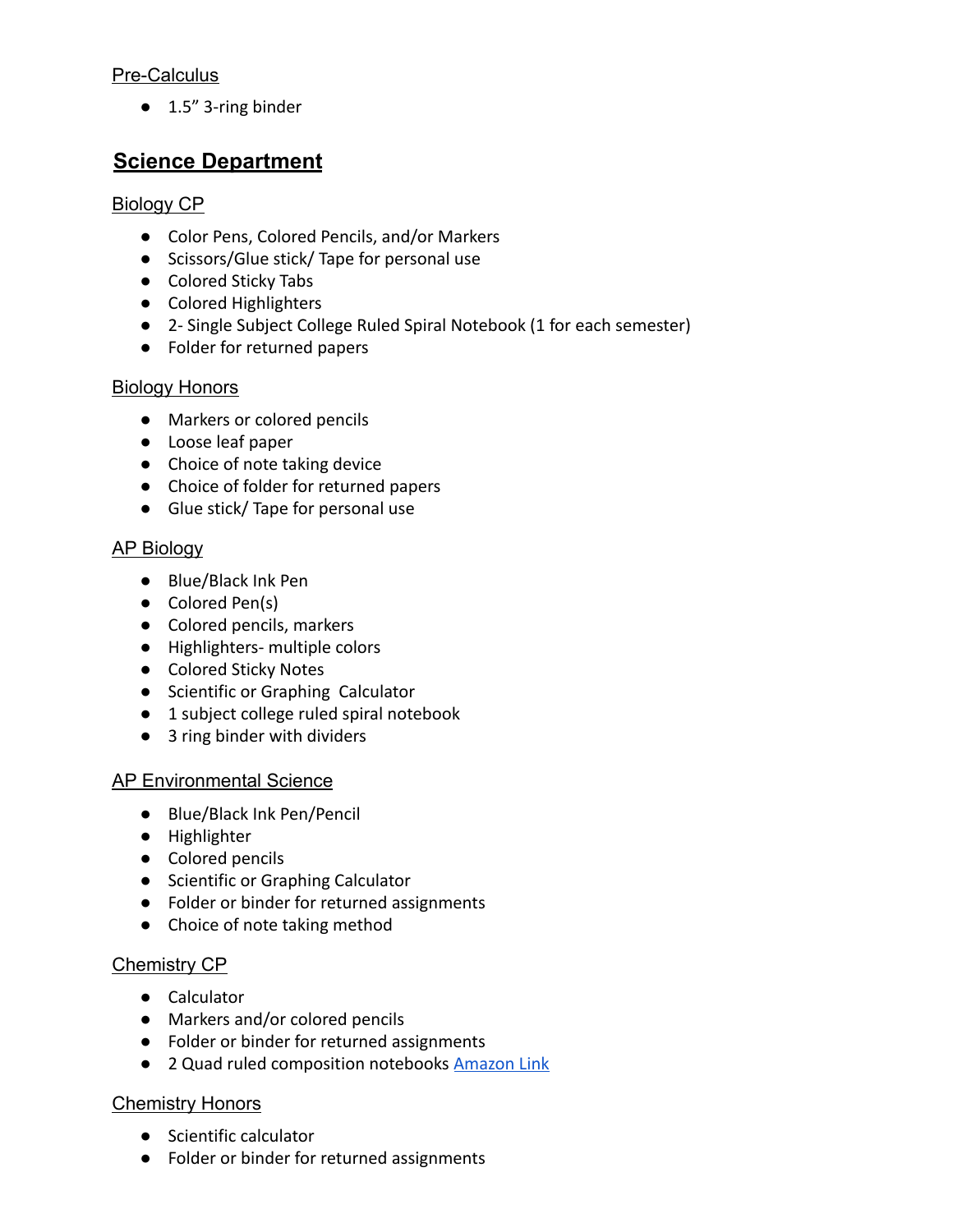#### Pre-Calculus

● 1.5" 3-ring binder

## **Science Department**

### Biology CP

- Color Pens, Colored Pencils, and/or Markers
- Scissors/Glue stick/ Tape for personal use
- Colored Sticky Tabs
- Colored Highlighters
- 2- Single Subject College Ruled Spiral Notebook (1 for each semester)
- Folder for returned papers

#### Biology Honors

- Markers or colored pencils
- Loose leaf paper
- Choice of note taking device
- Choice of folder for returned papers
- Glue stick/ Tape for personal use

## AP Biology

- Blue/Black Ink Pen
- Colored Pen(s)
- Colored pencils, markers
- Highlighters- multiple colors
- Colored Sticky Notes
- Scientific or Graphing Calculator
- 1 subject college ruled spiral notebook
- 3 ring binder with dividers

#### AP Environmental Science

- Blue/Black Ink Pen/Pencil
- Highlighter
- Colored pencils
- Scientific or Graphing Calculator
- Folder or binder for returned assignments
- Choice of note taking method

## Chemistry CP

- Calculator
- Markers and/or colored pencils
- Folder or binder for returned assignments
- 2 Quad ruled composition notebooks [Amazon Link](https://www.amazon.com/Graph-Paper-Notebook-Ruled-squares/dp/1724863746/ref=sr_1_8?keywords=quad-ruled+composition+notebook&qid=1652881381&sr=8-8)

## **Chemistry Honors**

- Scientific calculator
- Folder or binder for returned assignments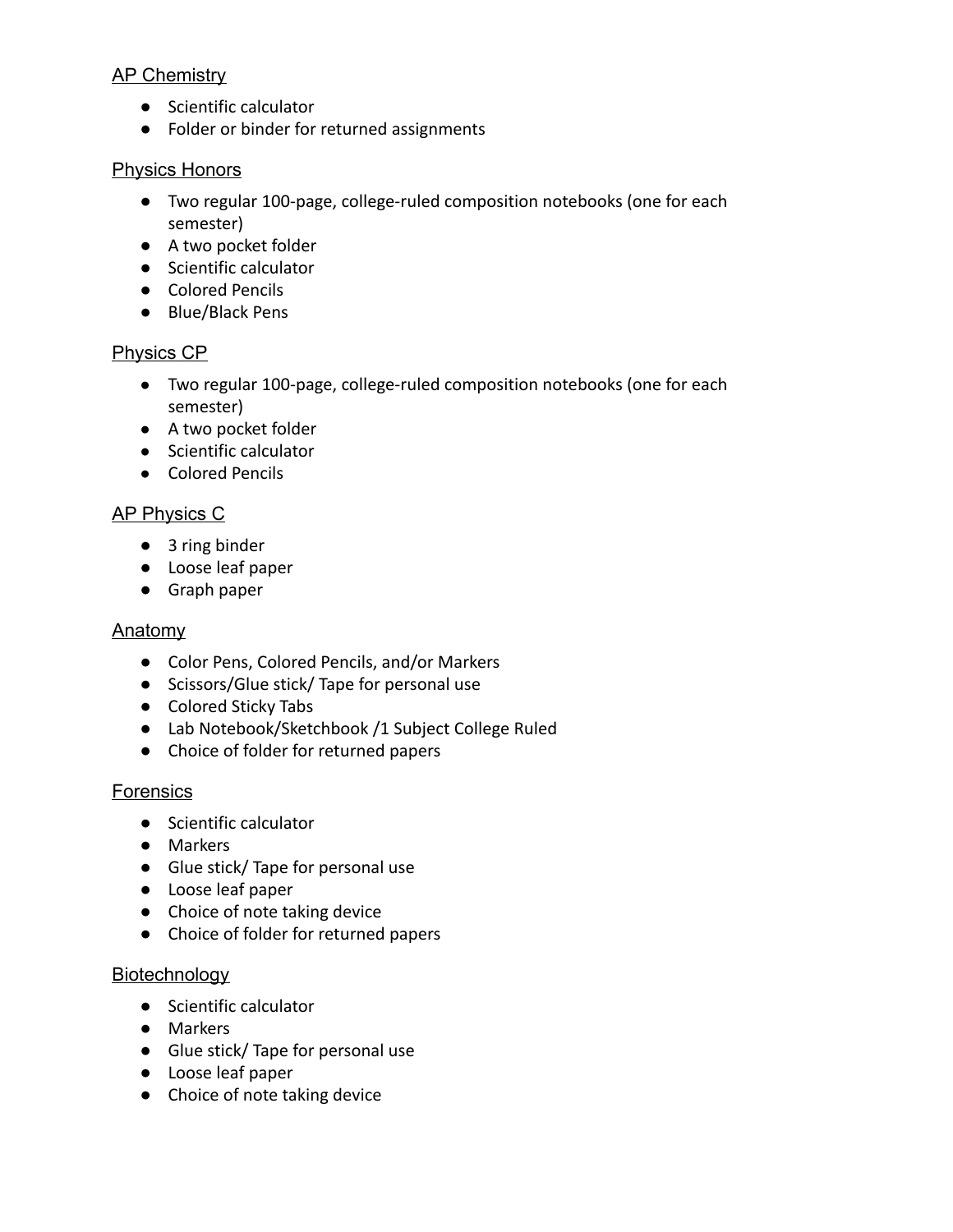#### **AP Chemistry**

- Scientific calculator
- Folder or binder for returned assignments

#### Physics Honors

- Two regular 100-page, college-ruled composition notebooks (one for each semester)
- A two pocket folder
- Scientific calculator
- Colored Pencils
- Blue/Black Pens

## Physics CP

- Two regular 100-page, college-ruled composition notebooks (one for each semester)
- A two pocket folder
- Scientific calculator
- Colored Pencils

#### AP Physics C

- 3 ring binder
- Loose leaf paper
- Graph paper

#### **Anatomy**

- Color Pens, Colored Pencils, and/or Markers
- Scissors/Glue stick/ Tape for personal use
- Colored Sticky Tabs
- Lab Notebook/Sketchbook /1 Subject College Ruled
- Choice of folder for returned papers

#### **Forensics**

- Scientific calculator
- Markers
- Glue stick/ Tape for personal use
- Loose leaf paper
- Choice of note taking device
- Choice of folder for returned papers

#### **Biotechnology**

- Scientific calculator
- Markers
- Glue stick/ Tape for personal use
- Loose leaf paper
- Choice of note taking device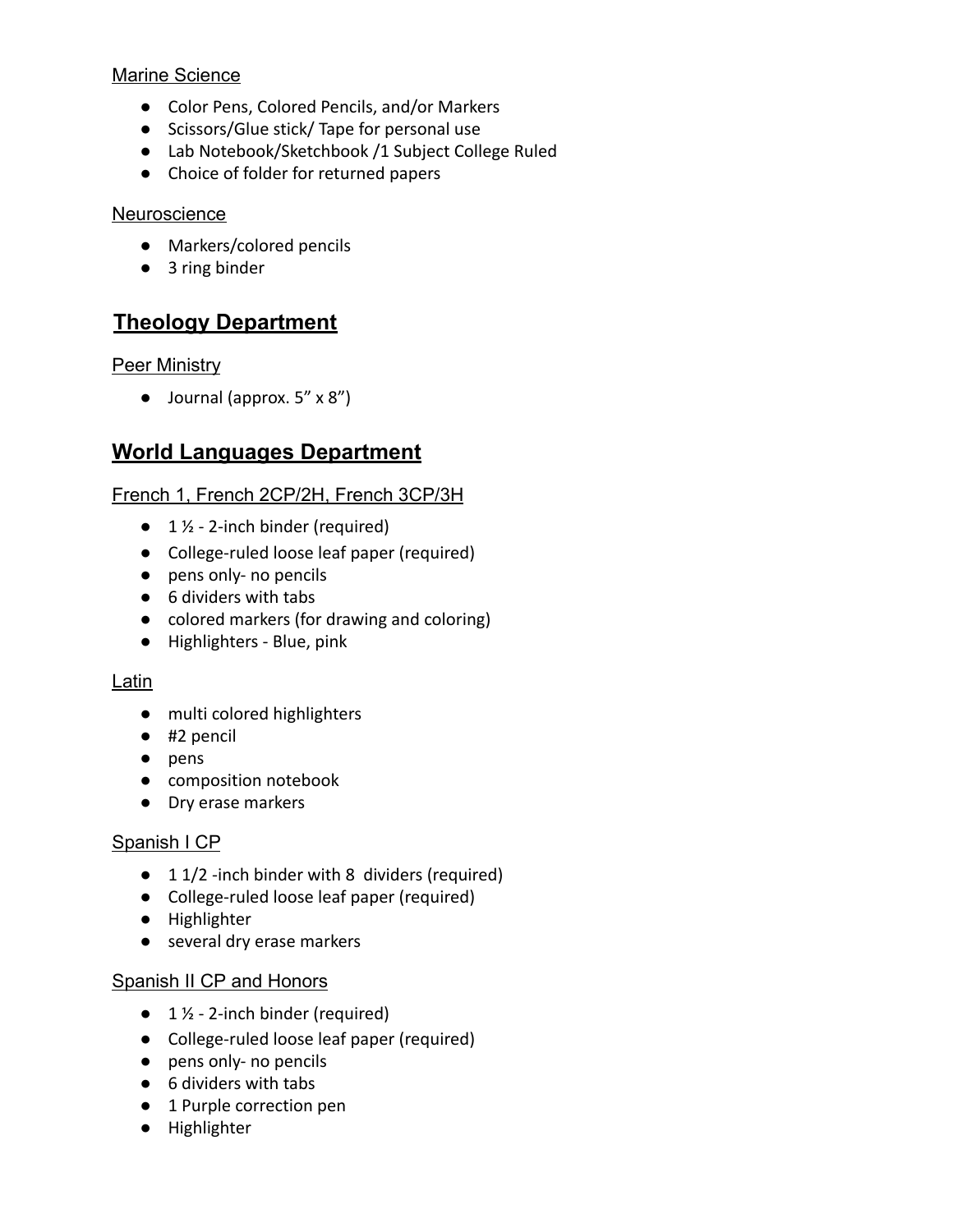#### Marine Science

- Color Pens, Colored Pencils, and/or Markers
- Scissors/Glue stick/ Tape for personal use
- Lab Notebook/Sketchbook /1 Subject College Ruled
- Choice of folder for returned papers

#### **Neuroscience**

- Markers/colored pencils
- 3 ring binder

## **Theology Department**

#### **Peer Ministry**

● Journal (approx. 5" x 8")

## **World Languages Department**

## French 1, French 2CP/2H, French 3CP/3H

- $\bullet$  1  $\frac{1}{2}$  2-inch binder (required)
- College-ruled loose leaf paper (required)
- pens only- no pencils
- 6 dividers with tabs
- colored markers (for drawing and coloring)
- Highlighters Blue, pink

#### Latin

- multi colored highlighters
- #2 pencil
- pens
- composition notebook
- Dry erase markers

## Spanish I CP

- 1 1/2 -inch binder with 8 dividers (required)
- College-ruled loose leaf paper (required)
- Highlighter
- several dry erase markers

## **Spanish II CP and Honors**

- $\bullet$  1  $\frac{1}{2}$  2-inch binder (required)
- College-ruled loose leaf paper (required)
- pens only- no pencils
- 6 dividers with tabs
- 1 Purple correction pen
- Highlighter